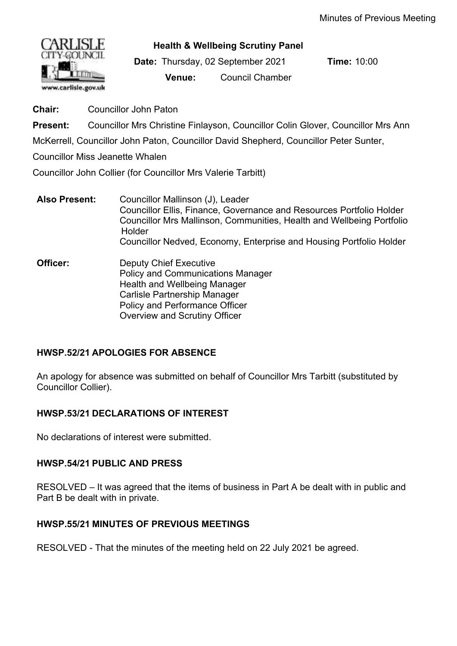

**Health & Wellbeing Scrutiny Panel**

**Date:** Thursday, 02 September 2021 **Time:** 10:00 **Venue:** Council Chamber

**Chair:** Councillor John Paton

**Present:** Councillor Mrs Christine Finlayson, Councillor Colin Glover, Councillor Mrs Ann

McKerrell, Councillor John Paton, Councillor David Shepherd, Councillor Peter Sunter,

Councillor Miss Jeanette Whalen

Councillor John Collier (for Councillor Mrs Valerie Tarbitt)

- **Also Present:** Councillor Mallinson (J), Leader Councillor Ellis, Finance, Governance and Resources Portfolio Holder Councillor Mrs Mallinson, Communities, Health and Wellbeing Portfolio Holder Councillor Nedved, Economy, Enterprise and Housing Portfolio Holder
- **Officer:** Deputy Chief Executive Policy and Communications Manager Health and Wellbeing Manager Carlisle Partnership Manager Policy and Performance Officer Overview and Scrutiny Officer

# **HWSP.52/21 APOLOGIES FOR ABSENCE**

An apology for absence was submitted on behalf of Councillor Mrs Tarbitt (substituted by Councillor Collier).

# **HWSP.53/21 DECLARATIONS OF INTEREST**

No declarations of interest were submitted.

# **HWSP.54/21 PUBLIC AND PRESS**

RESOLVED – It was agreed that the items of business in Part A be dealt with in public and Part B be dealt with in private.

# **HWSP.55/21 MINUTES OF PREVIOUS MEETINGS**

RESOLVED - That the minutes of the meeting held on 22 July 2021 be agreed.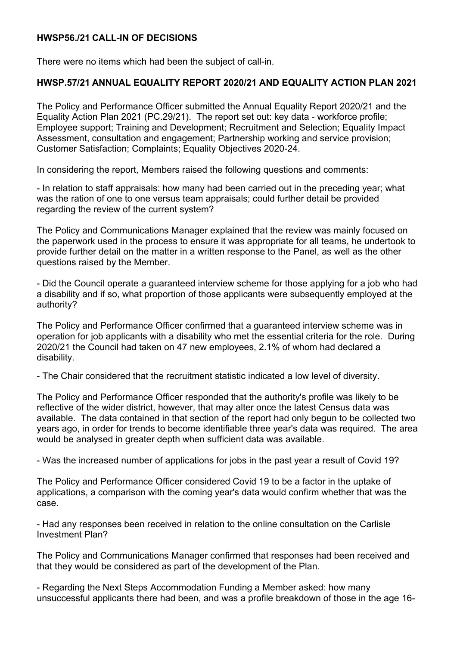### **HWSP56./21 CALL-IN OF DECISIONS**

There were no items which had been the subject of call-in.

#### **HWSP.57/21 ANNUAL EQUALITY REPORT 2020/21 AND EQUALITY ACTION PLAN 2021**

The Policy and Performance Officer submitted the Annual Equality Report 2020/21 and the Equality Action Plan 2021 (PC.29/21). The report set out: key data - workforce profile; Employee support; Training and Development; Recruitment and Selection; Equality Impact Assessment, consultation and engagement; Partnership working and service provision; Customer Satisfaction; Complaints; Equality Objectives 2020-24.

In considering the report, Members raised the following questions and comments:

- In relation to staff appraisals: how many had been carried out in the preceding year; what was the ration of one to one versus team appraisals; could further detail be provided regarding the review of the current system?

The Policy and Communications Manager explained that the review was mainly focused on the paperwork used in the process to ensure it was appropriate for all teams, he undertook to provide further detail on the matter in a written response to the Panel, as well as the other questions raised by the Member.

- Did the Council operate a guaranteed interview scheme for those applying for a job who had a disability and if so, what proportion of those applicants were subsequently employed at the authority?

The Policy and Performance Officer confirmed that a guaranteed interview scheme was in operation for job applicants with a disability who met the essential criteria for the role.During 2020/21 the Council had taken on 47 new employees, 2.1% of whom had declared a disability.

- The Chair considered that the recruitment statistic indicated a low level of diversity.

The Policy and Performance Officer responded that the authority's profile was likely to be reflective of the wider district, however, that may alter once the latest Census data was available. The data contained in that section of the report had only begun to be collected two years ago, in order for trends to become identifiable three year's data was required. The area would be analysed in greater depth when sufficient data was available.

- Was the increased number of applications for jobs in the past year a result of Covid 19?

The Policy and Performance Officer considered Covid 19 to be a factor in the uptake of applications, a comparison with the coming year's data would confirm whether that was the case.

- Had any responses been received in relation to the online consultation on the Carlisle Investment Plan?

The Policy and Communications Manager confirmed that responses had been received and that they would be considered as part of the development of the Plan.

- Regarding the Next Steps Accommodation Funding a Member asked: how many unsuccessful applicants there had been, and was a profile breakdown of those in the age 16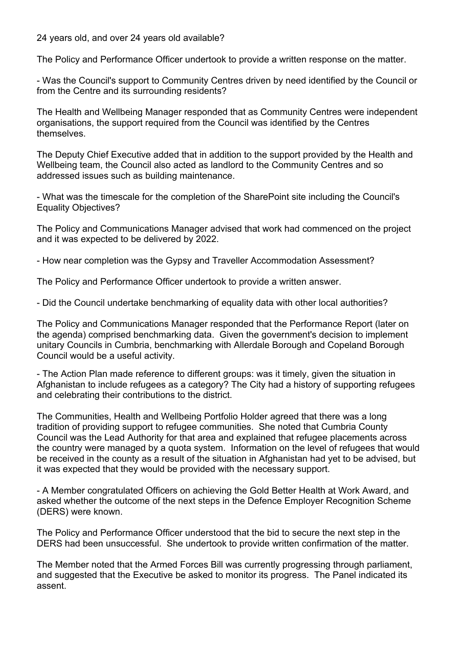24 years old, and over 24 years old available?

The Policy and Performance Officer undertook to provide a written response on the matter.

- Was the Council's support to Community Centres driven by need identified by the Council or from the Centre and its surrounding residents?

The Health and Wellbeing Manager responded that as Community Centres were independent organisations, the support required from the Council was identified by the Centres themselves.

The Deputy Chief Executive added that in addition to the support provided by the Health and Wellbeing team, the Council also acted as landlord to the Community Centres and so addressed issues such as building maintenance.

- What was the timescale for the completion of the SharePoint site including the Council's Equality Objectives?

The Policy and Communications Manager advised that work had commenced on the project and it was expected to be delivered by 2022.

- How near completion was the Gypsy and Traveller Accommodation Assessment?

The Policy and Performance Officer undertook to provide a written answer.

- Did the Council undertake benchmarking of equality data with other local authorities?

The Policy and Communications Manager responded that the Performance Report (later on the agenda) comprised benchmarking data. Given the government's decision to implement unitary Councils in Cumbria, benchmarking with Allerdale Borough and Copeland Borough Council would be a useful activity.

- The Action Plan made reference to different groups: was it timely, given the situation in Afghanistan to include refugees as a category? The City had a history of supporting refugees and celebrating their contributions to the district.

The Communities, Health and Wellbeing Portfolio Holder agreed that there was a long tradition of providing support to refugee communities. She noted that Cumbria County Council was the Lead Authority for that area and explained that refugee placements across the country were managed by a quota system. Information on the level of refugees that would be received in the county as a result of the situation in Afghanistan had yet to be advised, but it was expected that they would be provided with the necessary support.

- A Member congratulated Officers on achieving the Gold Better Health at Work Award, and asked whether the outcome of the next steps in the Defence Employer Recognition Scheme (DERS) were known.

The Policy and Performance Officer understood that the bid to secure the next step in the DERS had been unsuccessful. She undertook to provide written confirmation of the matter.

The Member noted that the Armed Forces Bill was currently progressing through parliament, and suggested that the Executive be asked to monitor its progress. The Panel indicated its assent.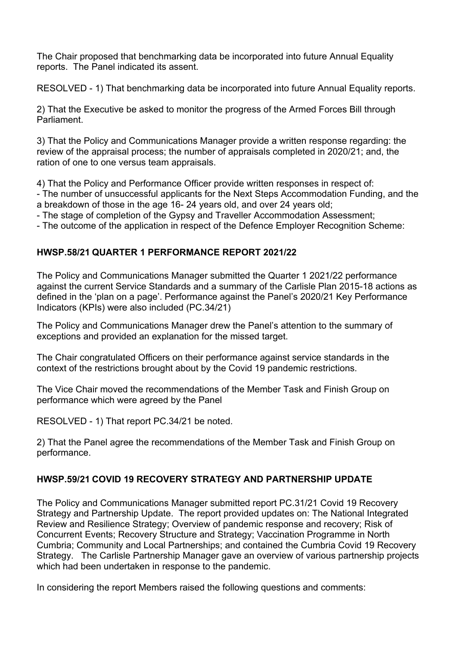The Chair proposed that benchmarking data be incorporated into future Annual Equality reports. The Panel indicated its assent.

RESOLVED - 1) That benchmarking data be incorporated into future Annual Equality reports.

2) That the Executive be asked to monitor the progress of the Armed Forces Bill through Parliament.

3) That the Policy and Communications Manager provide a written response regarding: the review of the appraisal process; the number of appraisals completed in 2020/21; and, the ration of one to one versus team appraisals.

4) That the Policy and Performance Officer provide written responses in respect of:

- The number of unsuccessful applicants for the Next Steps Accommodation Funding, and the a breakdown of those in the age 16- 24 years old, and over 24 years old;

- The stage of completion of the Gypsy and Traveller Accommodation Assessment;

- The outcome of the application in respect of the Defence Employer Recognition Scheme:

### **HWSP.58/21 QUARTER 1 PERFORMANCE REPORT 2021/22**

The Policy and Communications Manager submitted the Quarter 1 2021/22 performance against the current Service Standards and a summary of the Carlisle Plan 2015-18 actions as defined in the 'plan on a page'. Performance against the Panel's 2020/21 Key Performance Indicators (KPIs) were also included (PC.34/21)

The Policy and Communications Manager drew the Panel's attention to the summary of exceptions and provided an explanation for the missed target.

The Chair congratulated Officers on their performance against service standards in the context of the restrictions brought about by the Covid 19 pandemic restrictions.

The Vice Chair moved the recommendations of the Member Task and Finish Group on performance which were agreed by the Panel

RESOLVED - 1) That report PC.34/21 be noted.

2) That the Panel agree the recommendations of the Member Task and Finish Group on performance.

# **HWSP.59/21 COVID 19 RECOVERY STRATEGY AND PARTNERSHIP UPDATE**

The Policy and Communications Manager submitted report PC.31/21 Covid 19 Recovery Strategy and Partnership Update. The report provided updates on: The National Integrated Review and Resilience Strategy; Overview of pandemic response and recovery; Risk of Concurrent Events; Recovery Structure and Strategy; Vaccination Programme in North Cumbria; Community and Local Partnerships; and contained the Cumbria Covid 19 Recovery Strategy. The Carlisle Partnership Manager gave an overview of various partnership projects which had been undertaken in response to the pandemic.

In considering the report Members raised the following questions and comments: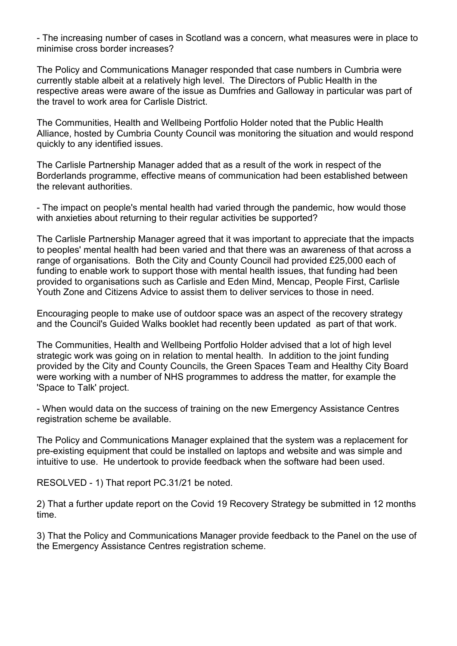- The increasing number of cases in Scotland was a concern, what measures were in place to minimise cross border increases?

The Policy and Communications Manager responded that case numbers in Cumbria were currently stable albeit at a relatively high level. The Directors of Public Health in the respective areas were aware of the issue as Dumfries and Galloway in particular was part of the travel to work area for Carlisle District.

The Communities, Health and Wellbeing Portfolio Holder noted that the Public Health Alliance, hosted by Cumbria County Council was monitoring the situation and would respond quickly to any identified issues.

The Carlisle Partnership Manager added that as a result of the work in respect of the Borderlands programme, effective means of communication had been established between the relevant authorities.

- The impact on people's mental health had varied through the pandemic, how would those with anxieties about returning to their regular activities be supported?

The Carlisle Partnership Manager agreed that it was important to appreciate that the impacts to peoples' mental health had been varied and that there was an awareness of that across a range of organisations. Both the City and County Council had provided £25,000 each of funding to enable work to support those with mental health issues, that funding had been provided to organisations such as Carlisle and Eden Mind, Mencap, People First, Carlisle Youth Zone and Citizens Advice to assist them to deliver services to those in need.

Encouraging people to make use of outdoor space was an aspect of the recovery strategy and the Council's Guided Walks booklet had recently been updated as part of that work.

The Communities, Health and Wellbeing Portfolio Holder advised that a lot of high level strategic work was going on in relation to mental health. In addition to the joint funding provided by the City and County Councils, the Green Spaces Team and Healthy City Board were working with a number of NHS programmes to address the matter, for example the 'Space to Talk' project.

- When would data on the success of training on the new Emergency Assistance Centres registration scheme be available.

The Policy and Communications Manager explained that the system was a replacement for pre-existing equipment that could be installed on laptops and website and was simple and intuitive to use. He undertook to provide feedback when the software had been used.

RESOLVED - 1) That report PC.31/21 be noted.

2) That a further update report on the Covid 19 Recovery Strategy be submitted in 12 months time.

3) That the Policy and Communications Manager provide feedback to the Panel on the use of the Emergency Assistance Centres registration scheme.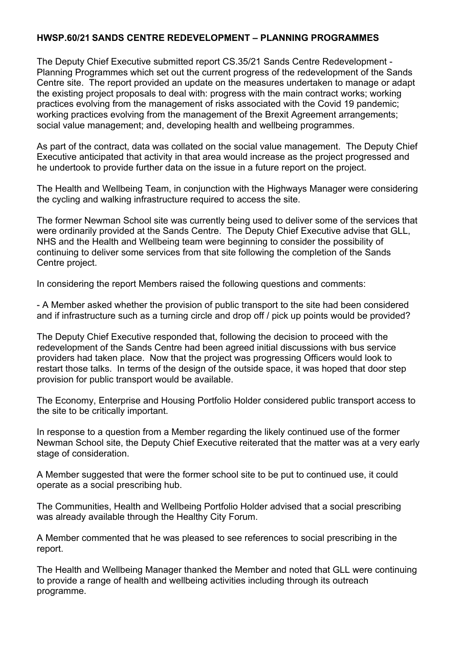#### **HWSP.60/21 SANDS CENTRE REDEVELOPMENT – PLANNING PROGRAMMES**

The Deputy Chief Executive submitted report CS.35/21 Sands Centre Redevelopment - Planning Programmes which set out the current progress of the redevelopment of the Sands Centre site. The report provided an update on the measures undertaken to manage or adapt the existing project proposals to deal with: progress with the main contract works; working practices evolving from the management of risks associated with the Covid 19 pandemic; working practices evolving from the management of the Brexit Agreement arrangements; social value management; and, developing health and wellbeing programmes.

As part of the contract, data was collated on the social value management. The Deputy Chief Executive anticipated that activity in that area would increase as the project progressed and he undertook to provide further data on the issue in a future report on the project.

The Health and Wellbeing Team, in conjunction with the Highways Manager were considering the cycling and walking infrastructure required to access the site.

The former Newman School site was currently being used to deliver some of the services that were ordinarily provided at the Sands Centre. The Deputy Chief Executive advise that GLL, NHS and the Health and Wellbeing team were beginning to consider the possibility of continuing to deliver some services from that site following the completion of the Sands Centre project.

In considering the report Members raised the following questions and comments:

- A Member asked whether the provision of public transport to the site had been considered and if infrastructure such as a turning circle and drop off / pick up points would be provided?

The Deputy Chief Executive responded that, following the decision to proceed with the redevelopment of the Sands Centre had been agreed initial discussions with bus service providers had taken place. Now that the project was progressing Officers would look to restart those talks. In terms of the design of the outside space, it was hoped that door step provision for public transport would be available.

The Economy, Enterprise and Housing Portfolio Holder considered public transport access to the site to be critically important.

In response to a question from a Member regarding the likely continued use of the former Newman School site, the Deputy Chief Executive reiterated that the matter was at a very early stage of consideration.

A Member suggested that were the former school site to be put to continued use, it could operate as a social prescribing hub.

The Communities, Health and Wellbeing Portfolio Holder advised that a social prescribing was already available through the Healthy City Forum.

A Member commented that he was pleased to see references to social prescribing in the report.

The Health and Wellbeing Manager thanked the Member and noted that GLL were continuing to provide a range of health and wellbeing activities including through its outreach programme.